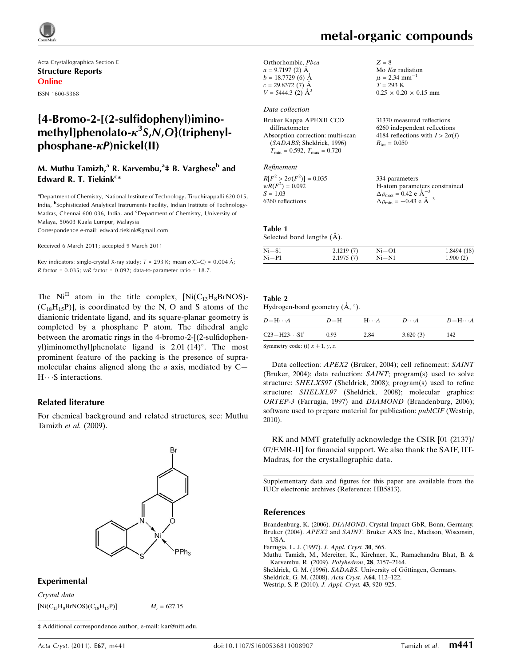

Acta Crystallographica Section E Structure Reports Online ISSN 1600-5368

# {4-Bromo-2-[(2-sulfidophenyl)iminomethyl]phenolato- $\kappa^3$ S,N,O}(triphenylphosphane- $\kappa$ P)nickel(II)

# M. Muthu Tamizh,<sup>a</sup> R. Karvembu,<sup>a</sup>‡ B. Varghese<sup>b</sup> and Edward R. T. Tiekink<sup>c\*</sup>

<sup>a</sup>Department of Chemistry, National Institute of Technology, Tiruchirappalli 620 015, India, <sup>b</sup>Sophisticated Analytical Instruments Facility, Indian Institute of Technology-Madras, Chennai 600 036, India, and <sup>c</sup>Department of Chemistry, University of Malaya, 50603 Kuala Lumpur, Malaysia Correspondence e-mail: [edward.tiekink@gmail.com](http://scripts.iucr.org/cgi-bin/cr.cgi?rm=pdfbb&cnor=hb5813&bbid=BB7)

Received 6 March 2011; accepted 9 March 2011

Key indicators: single-crystal X-ray study;  $T = 293$  K; mean  $\sigma$ (C–C) = 0.004 Å; R factor =  $0.035$ ; wR factor =  $0.092$ ; data-to-parameter ratio = 18.7.

The  $Ni<sup>II</sup>$  atom in the title complex,  $[Ni(C_{13}H_8BrNOS)]$ - $(C_{18}H_{15}P)$ ], is coordinated by the N, O and S atoms of the dianionic tridentate ligand, and its square-planar geometry is completed by a phosphane P atom. The dihedral angle between the aromatic rings in the 4-bromo-2-[(2-sulfidophenyl)iminomethyl]phenolate ligand is 2.01 (14)°. The most prominent feature of the packing is the presence of supramolecular chains aligned along the  $a$  axis, mediated by  $C H \cdots S$  interactions.

#### Related literature

For chemical background and related structures, see: Muthu Tamizh et al. (2009).



#### Experimental

Crystal data  $[Ni(C_{13}H_8BrNOS)(C_{18}H_{15}P)]$   $M_r = 627.15$ 

‡ Additional correspondence author, e-mail: kar@nitt.edu.

Mo  $K\alpha$  radiation  $\mu$  = 2.34 mm<sup>-1</sup>  $T = 293 \text{ K}$ 

 $0.25 \times 0.20 \times 0.15$  mm

 $Z = 8$ 

Orthorhombic, Pbca  $a = 9.7197$  (2) Å  $b = 18.7729(6)$  Å  $c = 29.8372(7)$  Å  $V = 5444.3$  (2)  $\AA^3$ 

#### Data collection

| Bruker Kappa APEXII CCD                          | 31370 measured reflections             |
|--------------------------------------------------|----------------------------------------|
| diffractometer                                   | 6260 independent reflections           |
| Absorption correction: multi-scan                | 4184 reflections with $I > 2\sigma(I)$ |
| (SADABS; Sheldrick, 1996)                        | $R_{\rm int} = 0.050$                  |
| $T_{\text{min}} = 0.592, T_{\text{max}} = 0.720$ |                                        |
|                                                  |                                        |

Refinement

| $R[F^2 > 2\sigma(F^2)] = 0.035$ | 334 parameters                                     |
|---------------------------------|----------------------------------------------------|
| $wR(F^2) = 0.092$               | H-atom parameters constrained                      |
| $S = 1.03$                      | $\Delta \rho_{\text{max}} = 0.42 \text{ e A}^{-3}$ |
| 6260 reflections                | $\Delta \rho_{\text{min}} = -0.43$ e $\AA^{-3}$    |

#### Table 1

Selected bond lengths  $(A)$ .

| $Ni - S1$ | 2.1219(7) | $Ni-O1$   | 1.8494 (18) |
|-----------|-----------|-----------|-------------|
| $Ni-P1$   | 2.1975(7) | $Ni - N1$ | 1.900(2)    |

# Table 2

| $D - H \cdots A$        | $D-H$ | $H\cdots A$ | $D\cdots A$ | $D-H\cdots A$ |
|-------------------------|-------|-------------|-------------|---------------|
| $C23 - H23 \cdots S1^1$ | 0.93  | 2.84        | 3.620(3)    | 142           |
| $\alpha$ . In the set   |       |             |             |               |

Symmetry code: (i)  $x + 1$ , y, z.

Data collection: APEX2 (Bruker, 2004); cell refinement: SAINT (Bruker, 2004); data reduction: SAINT; program(s) used to solve structure: SHELXS97 (Sheldrick, 2008); program(s) used to refine structure: SHELXL97 (Sheldrick, 2008); molecular graphics: ORTEP-3 (Farrugia, 1997) and DIAMOND (Brandenburg, 2006); software used to prepare material for publication: *publCIF* (Westrip, 2010).

RK and MMT gratefully acknowledge the CSIR [01 (2137)/ 07/EMR-II] for financial support. We also thank the SAIF, IIT-Madras, for the crystallographic data.

Supplementary data and figures for this paper are available from the IUCr electronic archives (Reference: HB5813).

#### References

Brandenburg, K. (2006). DIAMOND[. Crystal Impact GbR, Bonn, Germany.](http://scripts.iucr.org/cgi-bin/cr.cgi?rm=pdfbb&cnor=hb5813&bbid=BB1) Bruker (2004). APEX2 and SAINT[. Bruker AXS Inc., Madison, Wisconsin,](http://scripts.iucr.org/cgi-bin/cr.cgi?rm=pdfbb&cnor=hb5813&bbid=BB2) [USA.](http://scripts.iucr.org/cgi-bin/cr.cgi?rm=pdfbb&cnor=hb5813&bbid=BB2)

[Farrugia, L. J. \(1997\).](http://scripts.iucr.org/cgi-bin/cr.cgi?rm=pdfbb&cnor=hb5813&bbid=BB3) J. Appl. Cryst. 30, 565.

[Muthu Tamizh, M., Mereiter, K., Kirchner, K., Ramachandra Bhat, B. &](http://scripts.iucr.org/cgi-bin/cr.cgi?rm=pdfbb&cnor=hb5813&bbid=BB4) [Karvembu, R. \(2009\).](http://scripts.iucr.org/cgi-bin/cr.cgi?rm=pdfbb&cnor=hb5813&bbid=BB4) Polyhedron, 28, 2157–2164.

Sheldrick, G. M. (1996). SADABS. University of Göttingen, Germany.

[Sheldrick, G. M. \(2008\).](http://scripts.iucr.org/cgi-bin/cr.cgi?rm=pdfbb&cnor=hb5813&bbid=BB6) Acta Cryst. A64, 112–122.

[Westrip, S. P. \(2010\).](http://scripts.iucr.org/cgi-bin/cr.cgi?rm=pdfbb&cnor=hb5813&bbid=BB7) J. Appl. Cryst. 43, 920–925.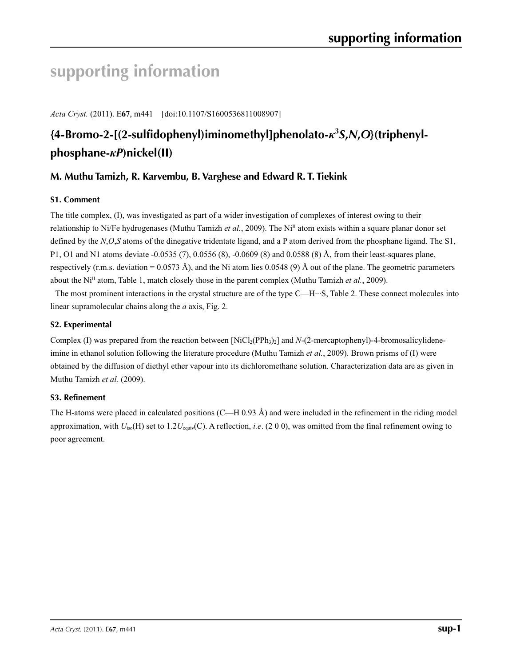# **supporting information**

*Acta Cryst.* (2011). E**67**, m441 [doi:10.1107/S1600536811008907]

# **{4-Bromo-2-[(2-sulfidophenyl)iminomethyl]phenolato-***κ***<sup>3</sup>** *S***,***N***,***O***}(triphenylphosphane-***κP***)nickel(II)**

# **M. Muthu Tamizh, R. Karvembu, B. Varghese and Edward R. T. Tiekink**

# **S1. Comment**

The title complex, (I), was investigated as part of a wider investigation of complexes of interest owing to their relationship to Ni/Fe hydrogenases (Muthu Tamizh *et al.*, 2009). The NiII atom exists within a square planar donor set defined by the *N*,*O*,*S* atoms of the dinegative tridentate ligand, and a P atom derived from the phosphane ligand. The S1, P1, O1 and N1 atoms deviate -0.0535 (7), 0.0556 (8), -0.0609 (8) and 0.0588 (8) Å, from their least-squares plane, respectively (r.m.s. deviation =  $0.0573 \text{ Å}$ ), and the Ni atom lies 0.0548 (9) Å out of the plane. The geometric parameters about the Ni<sup>II</sup> atom, Table 1, match closely those in the parent complex (Muthu Tamizh *et al.*, 2009).

The most prominent interactions in the crystal structure are of the type C—H…S, Table 2. These connect molecules into linear supramolecular chains along the *a* axis, Fig. 2.

# **S2. Experimental**

Complex (I) was prepared from the reaction between  $[NiCl_2(PPh_3)_2]$  and *N*-(2-mercaptophenyl)-4-bromosalicylideneimine in ethanol solution following the literature procedure (Muthu Tamizh *et al.*, 2009). Brown prisms of (I) were obtained by the diffusion of diethyl ether vapour into its dichloromethane solution. Characterization data are as given in Muthu Tamizh *et al.* (2009).

#### **S3. Refinement**

The H-atoms were placed in calculated positions (C—H 0.93 Å) and were included in the refinement in the riding model approximation, with *U*iso(H) set to 1.2*U*equiv(C). A reflection, *i.e*. (2 0 0), was omitted from the final refinement owing to poor agreement.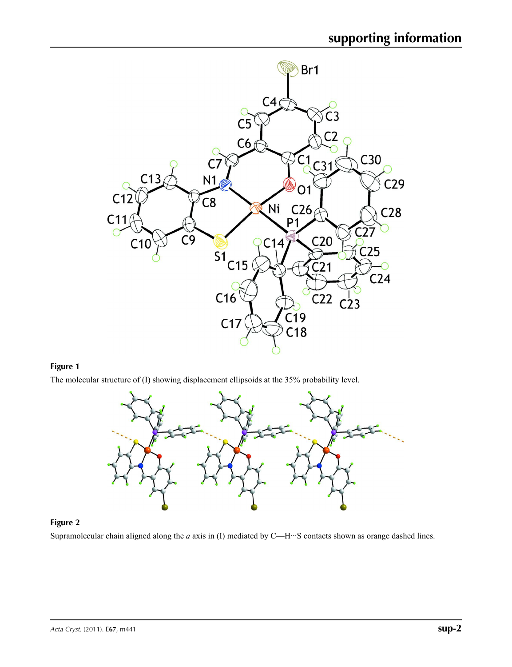

# **Figure 1**

The molecular structure of (I) showing displacement ellipsoids at the 35% probability level.



#### **Figure 2**

Supramolecular chain aligned along the *a* axis in (I) mediated by C—H···S contacts shown as orange dashed lines.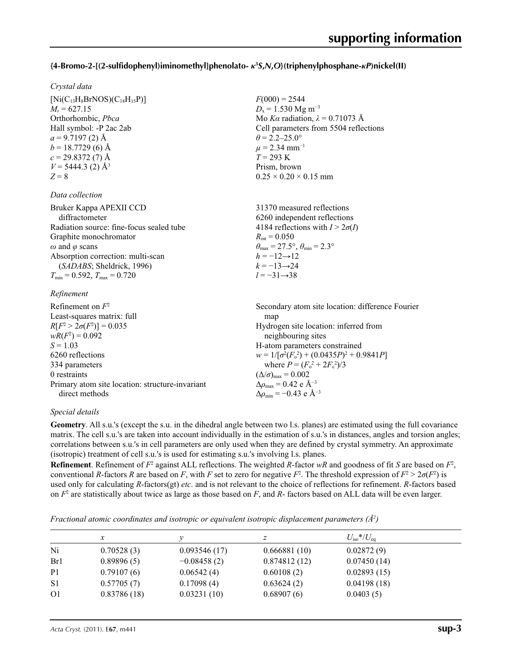# **{4-Bromo-2-[(2-sulfidophenyl)iminomethyl]phenolato-** *κ***<sup>3</sup>** *S***,***N***,***O***}(triphenylphosphane-***κP***)nickel(II)**

 $F(000) = 2544$  $D_x = 1.530$  Mg m<sup>-3</sup>

 $\theta$  = 2.2–25.0°  $\mu$  = 2.34 mm<sup>-1</sup>  $T = 293 \text{ K}$ Prism, brown

 $0.25 \times 0.20 \times 0.15$  mm

Mo *Kα* radiation, *λ* = 0.71073 Å Cell parameters from 5504 reflections

#### *Crystal data*

 $[Ni(C_{13}H_8BrNOS)(C_{18}H_{15}P)]$  $M_r = 627.15$ Orthorhombic, *Pbca* Hall symbol: -P 2ac 2ab  $a = 9.7197(2)$  Å  $b = 18.7729$  (6) Å  $c = 29.8372(7)$  Å  $V = 5444.3$  (2)  $\AA^3$ *Z* = 8

#### *Data collection*

| Bruker Kappa APEXII CCD                  | 31370 measured reflections                                              |
|------------------------------------------|-------------------------------------------------------------------------|
| diffractometer                           | 6260 independent reflections                                            |
| Radiation source: fine-focus sealed tube | 4184 reflections with $I > 2\sigma(I)$                                  |
| Graphite monochromator                   | $R_{\rm int} = 0.050$                                                   |
| $\omega$ and $\varphi$ scans             | $\theta_{\text{max}} = 27.5^{\circ}, \theta_{\text{min}} = 2.3^{\circ}$ |
| Absorption correction: multi-scan        | $h = -12 \rightarrow 12$                                                |
| (SADABS; Sheldrick, 1996)                | $k = -13 \rightarrow 24$                                                |
| $T_{\min}$ = 0.592, $T_{\max}$ = 0.720   | $l = -31 \rightarrow 38$                                                |
|                                          |                                                                         |

#### *Refinement*

| Refinement on $F^2$                             | Secondary atom site location: difference Fourier   |
|-------------------------------------------------|----------------------------------------------------|
| Least-squares matrix: full                      | map                                                |
| $R[F^2 > 2\sigma(F^2)] = 0.035$                 | Hydrogen site location: inferred from              |
| $wR(F^2) = 0.092$                               | neighbouring sites                                 |
| $S = 1.03$                                      | H-atom parameters constrained                      |
| 6260 reflections                                | $w = 1/[\sigma^2(F_0^2) + (0.0435P)^2 + 0.9841P]$  |
| 334 parameters                                  | where $P = (F_o^2 + 2F_c^2)/3$                     |
| 0 restraints                                    | $(\Delta/\sigma)_{\text{max}} = 0.002$             |
| Primary atom site location: structure-invariant | $\Delta\rho_{\text{max}} = 0.42$ e Å <sup>-3</sup> |
| direct methods                                  | $\Delta \rho_{\rm min} = -0.43$ e Å <sup>-3</sup>  |

#### *Special details*

**Geometry**. All s.u.'s (except the s.u. in the dihedral angle between two l.s. planes) are estimated using the full covariance matrix. The cell s.u.'s are taken into account individually in the estimation of s.u.'s in distances, angles and torsion angles; correlations between s.u.'s in cell parameters are only used when they are defined by crystal symmetry. An approximate (isotropic) treatment of cell s.u.'s is used for estimating s.u.'s involving l.s. planes.

**Refinement**. Refinement of  $F^2$  against ALL reflections. The weighted R-factor wR and goodness of fit *S* are based on  $F^2$ , conventional *R*-factors *R* are based on *F*, with *F* set to zero for negative *F*<sup>2</sup>. The threshold expression of  $F^2 > 2\sigma(F^2)$  is used only for calculating *R*-factors(gt) *etc*. and is not relevant to the choice of reflections for refinement. *R*-factors based on *F*<sup>2</sup> are statistically about twice as large as those based on *F*, and *R*- factors based on ALL data will be even larger.

| Fractional atomic coordinates and isotropic or equivalent isotropic displacement parameters $(\hat{A}^2)$ |  |
|-----------------------------------------------------------------------------------------------------------|--|
|-----------------------------------------------------------------------------------------------------------|--|

|                | $\mathcal{X}$ |               | z            | $U_{\rm iso}*/U_{\rm eq}$ |
|----------------|---------------|---------------|--------------|---------------------------|
| Ni             | 0.70528(3)    | 0.093546(17)  | 0.666881(10) | 0.02872(9)                |
| Br1            | 0.89896(5)    | $-0.08458(2)$ | 0.874812(12) | 0.07450(14)               |
| P <sub>1</sub> | 0.79107(6)    | 0.06542(4)    | 0.60108(2)   | 0.02893(15)               |
| S <sub>1</sub> | 0.57705(7)    | 0.17098(4)    | 0.63624(2)   | 0.04198(18)               |
| O <sub>1</sub> | 0.83786(18)   | 0.03231(10)   | 0.68907(6)   | 0.0403(5)                 |
|                |               |               |              |                           |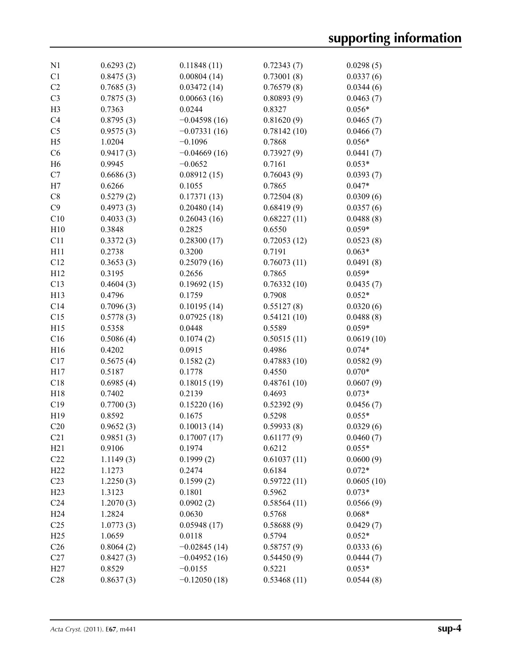| N1              | 0.6293(2) | 0.11848(11)    | 0.72343(7)  | 0.0298(5)  |
|-----------------|-----------|----------------|-------------|------------|
| C1              | 0.8475(3) | 0.00804(14)    | 0.73001(8)  | 0.0337(6)  |
| C <sub>2</sub>  | 0.7685(3) | 0.03472(14)    | 0.76579(8)  | 0.0344(6)  |
| C <sub>3</sub>  | 0.7875(3) | 0.00663(16)    | 0.80893(9)  | 0.0463(7)  |
| H <sub>3</sub>  | 0.7363    | 0.0244         | 0.8327      | $0.056*$   |
| C <sub>4</sub>  | 0.8795(3) | $-0.04598(16)$ | 0.81620(9)  | 0.0465(7)  |
| C <sub>5</sub>  | 0.9575(3) | $-0.07331(16)$ | 0.78142(10) | 0.0466(7)  |
| H <sub>5</sub>  | 1.0204    | $-0.1096$      | 0.7868      | $0.056*$   |
| C6              | 0.9417(3) | $-0.04669(16)$ | 0.73927(9)  | 0.0441(7)  |
| H <sub>6</sub>  | 0.9945    | $-0.0652$      | 0.7161      | $0.053*$   |
| C7              | 0.6686(3) | 0.08912(15)    | 0.76043(9)  | 0.0393(7)  |
| H7              | 0.6266    | 0.1055         | 0.7865      | $0.047*$   |
| C8              | 0.5279(2) | 0.17371(13)    | 0.72504(8)  | 0.0309(6)  |
| C9              | 0.4973(3) | 0.20480(14)    | 0.68419(9)  | 0.0357(6)  |
| C10             | 0.4033(3) | 0.26043(16)    | 0.68227(11) | 0.0488(8)  |
| H10             | 0.3848    |                |             | $0.059*$   |
|                 |           | 0.2825         | 0.6550      |            |
| C11             | 0.3372(3) | 0.28300(17)    | 0.72053(12) | 0.0523(8)  |
| H11             | 0.2738    | 0.3200         | 0.7191      | $0.063*$   |
| C12             | 0.3653(3) | 0.25079(16)    | 0.76073(11) | 0.0491(8)  |
| H12             | 0.3195    | 0.2656         | 0.7865      | $0.059*$   |
| C13             | 0.4604(3) | 0.19692(15)    | 0.76332(10) | 0.0435(7)  |
| H13             | 0.4796    | 0.1759         | 0.7908      | $0.052*$   |
| C14             | 0.7096(3) | 0.10195(14)    | 0.55127(8)  | 0.0320(6)  |
| C15             | 0.5778(3) | 0.07925(18)    | 0.54121(10) | 0.0488(8)  |
| H15             | 0.5358    | 0.0448         | 0.5589      | $0.059*$   |
| C16             | 0.5086(4) | 0.1074(2)      | 0.50515(11) | 0.0619(10) |
| H16             | 0.4202    | 0.0915         | 0.4986      | $0.074*$   |
| C17             | 0.5675(4) | 0.1582(2)      | 0.47883(10) | 0.0582(9)  |
| H17             | 0.5187    | 0.1778         | 0.4550      | $0.070*$   |
| C18             | 0.6985(4) | 0.18015(19)    | 0.48761(10) | 0.0607(9)  |
| H18             | 0.7402    | 0.2139         | 0.4693      | $0.073*$   |
| C19             | 0.7700(3) | 0.15220(16)    | 0.52392(9)  | 0.0456(7)  |
| H19             | 0.8592    | 0.1675         | 0.5298      | $0.055*$   |
| C20             | 0.9652(3) | 0.10013(14)    | 0.59933(8)  | 0.0329(6)  |
| C21             | 0.9851(3) | 0.17007(17)    | 0.61177(9)  | 0.0460(7)  |
| H21             | 0.9106    | 0.1974         | 0.6212      | $0.055*$   |
| C22             | 1.1149(3) | 0.1999(2)      | 0.61037(11) | 0.0600(9)  |
| H22             | 1.1273    | 0.2474         | 0.6184      | $0.072*$   |
| C <sub>23</sub> | 1.2250(3) | 0.1599(2)      | 0.59722(11) | 0.0605(10) |
| H23             | 1.3123    | 0.1801         | 0.5962      | $0.073*$   |
| C <sub>24</sub> | 1.2070(3) | 0.0902(2)      | 0.58564(11) | 0.0566(9)  |
| H <sub>24</sub> | 1.2824    | 0.0630         | 0.5768      | $0.068*$   |
| C <sub>25</sub> | 1.0773(3) | 0.05948(17)    | 0.58688(9)  | 0.0429(7)  |
| H25             | 1.0659    | 0.0118         | 0.5794      | $0.052*$   |
| C <sub>26</sub> | 0.8064(2) | $-0.02845(14)$ | 0.58757(9)  | 0.0333(6)  |
| C27             | 0.8427(3) | $-0.04952(16)$ | 0.54450(9)  | 0.0444(7)  |
| H27             | 0.8529    | $-0.0155$      | 0.5221      | $0.053*$   |
| C28             | 0.8637(3) | $-0.12050(18)$ | 0.53468(11) | 0.0544(8)  |
|                 |           |                |             |            |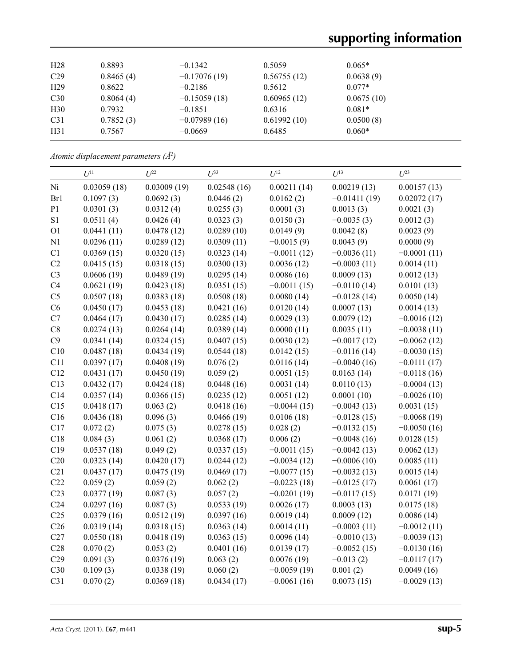| H <sub>28</sub> | 0.8893    | $-0.1342$      | 0.5059      | $0.065*$   |
|-----------------|-----------|----------------|-------------|------------|
| C <sub>29</sub> | 0.8465(4) | $-0.17076(19)$ | 0.56755(12) | 0.0638(9)  |
| H <sub>29</sub> | 0.8622    | $-0.2186$      | 0.5612      | $0.077*$   |
| C30             | 0.8064(4) | $-0.15059(18)$ | 0.60965(12) | 0.0675(10) |
| H <sub>30</sub> | 0.7932    | $-0.1851$      | 0.6316      | $0.081*$   |
| C <sub>31</sub> | 0.7852(3) | $-0.07989(16)$ | 0.61992(10) | 0.0500(8)  |
| H31             | 0.7567    | $-0.0669$      | 0.6485      | $0.060*$   |

*Atomic displacement parameters (Å2 )*

|                 | $U^{11}$    | $U^{22}$    | $U^{33}$    | $U^{12}$      | $U^{13}$       | $U^{23}$      |
|-----------------|-------------|-------------|-------------|---------------|----------------|---------------|
| Ni              | 0.03059(18) | 0.03009(19) | 0.02548(16) | 0.00211(14)   | 0.00219(13)    | 0.00157(13)   |
| Br1             | 0.1097(3)   | 0.0692(3)   | 0.0446(2)   | 0.0162(2)     | $-0.01411(19)$ | 0.02072(17)   |
| P1              | 0.0301(3)   | 0.0312(4)   | 0.0255(3)   | 0.0001(3)     | 0.0013(3)      | 0.0021(3)     |
| S1              | 0.0511(4)   | 0.0426(4)   | 0.0323(3)   | 0.0150(3)     | $-0.0035(3)$   | 0.0012(3)     |
| O <sub>1</sub>  | 0.0441(11)  | 0.0478(12)  | 0.0289(10)  | 0.0149(9)     | 0.0042(8)      | 0.0023(9)     |
| N1              | 0.0296(11)  | 0.0289(12)  | 0.0309(11)  | $-0.0015(9)$  | 0.0043(9)      | 0.0000(9)     |
| C1              | 0.0369(15)  | 0.0320(15)  | 0.0323(14)  | $-0.0011(12)$ | $-0.0036(11)$  | $-0.0001(11)$ |
| C2              | 0.0415(15)  | 0.0318(15)  | 0.0300(13)  | 0.0036(12)    | $-0.0003(11)$  | 0.0014(11)    |
| C <sub>3</sub>  | 0.0606(19)  | 0.0489(19)  | 0.0295(14)  | 0.0086(16)    | 0.0009(13)     | 0.0012(13)    |
| C4              | 0.0621(19)  | 0.0423(18)  | 0.0351(15)  | $-0.0011(15)$ | $-0.0110(14)$  | 0.0101(13)    |
| C <sub>5</sub>  | 0.0507(18)  | 0.0383(18)  | 0.0508(18)  | 0.0080(14)    | $-0.0128(14)$  | 0.0050(14)    |
| C6              | 0.0450(17)  | 0.0453(18)  | 0.0421(16)  | 0.0120(14)    | 0.0007(13)     | 0.0014(13)    |
| C7              | 0.0464(17)  | 0.0430(17)  | 0.0285(14)  | 0.0029(13)    | 0.0079(12)     | $-0.0016(12)$ |
| $\mbox{C}8$     | 0.0274(13)  | 0.0264(14)  | 0.0389(14)  | 0.0000(11)    | 0.0035(11)     | $-0.0038(11)$ |
| C9              | 0.0341(14)  | 0.0324(15)  | 0.0407(15)  | 0.0030(12)    | $-0.0017(12)$  | $-0.0062(12)$ |
| C10             | 0.0487(18)  | 0.0434(19)  | 0.0544(18)  | 0.0142(15)    | $-0.0116(14)$  | $-0.0030(15)$ |
| C11             | 0.0397(17)  | 0.0408(19)  | 0.076(2)    | 0.0116(14)    | $-0.0040(16)$  | $-0.0111(17)$ |
| C12             | 0.0431(17)  | 0.0450(19)  | 0.059(2)    | 0.0051(15)    | 0.0163(14)     | $-0.0118(16)$ |
| C13             | 0.0432(17)  | 0.0424(18)  | 0.0448(16)  | 0.0031(14)    | 0.0110(13)     | $-0.0004(13)$ |
| C14             | 0.0357(14)  | 0.0366(15)  | 0.0235(12)  | 0.0051(12)    | 0.0001(10)     | $-0.0026(10)$ |
| C15             | 0.0418(17)  | 0.063(2)    | 0.0418(16)  | $-0.0044(15)$ | $-0.0043(13)$  | 0.0031(15)    |
| C16             | 0.0436(18)  | 0.096(3)    | 0.0466(19)  | 0.0106(18)    | $-0.0128(15)$  | $-0.0068(19)$ |
| C17             | 0.072(2)    | 0.075(3)    | 0.0278(15)  | 0.028(2)      | $-0.0132(15)$  | $-0.0050(16)$ |
| C18             | 0.084(3)    | 0.061(2)    | 0.0368(17)  | 0.006(2)      | $-0.0048(16)$  | 0.0128(15)    |
| C19             | 0.0537(18)  | 0.049(2)    | 0.0337(15)  | $-0.0011(15)$ | $-0.0042(13)$  | 0.0062(13)    |
| C20             | 0.0323(14)  | 0.0420(17)  | 0.0244(12)  | $-0.0034(12)$ | $-0.0006(10)$  | 0.0085(11)    |
| C21             | 0.0437(17)  | 0.0475(19)  | 0.0469(17)  | $-0.0077(15)$ | $-0.0032(13)$  | 0.0015(14)    |
| C22             | 0.059(2)    | 0.059(2)    | 0.062(2)    | $-0.0223(18)$ | $-0.0125(17)$  | 0.0061(17)    |
| C <sub>23</sub> | 0.0377(19)  | 0.087(3)    | 0.057(2)    | $-0.0201(19)$ | $-0.0117(15)$  | 0.0171(19)    |
| C <sub>24</sub> | 0.0297(16)  | 0.087(3)    | 0.0533(19)  | 0.0026(17)    | 0.0003(13)     | 0.0175(18)    |
| C <sub>25</sub> | 0.0379(16)  | 0.0512(19)  | 0.0397(16)  | 0.0019(14)    | 0.0009(12)     | 0.0086(14)    |
| C <sub>26</sub> | 0.0319(14)  | 0.0318(15)  | 0.0363(14)  | 0.0014(11)    | $-0.0003(11)$  | $-0.0012(11)$ |
| C27             | 0.0550(18)  | 0.0418(19)  | 0.0363(15)  | 0.0096(14)    | $-0.0010(13)$  | $-0.0039(13)$ |
| C28             | 0.070(2)    | 0.053(2)    | 0.0401(16)  | 0.0139(17)    | $-0.0052(15)$  | $-0.0130(16)$ |
| C29             | 0.091(3)    | 0.0376(19)  | 0.063(2)    | 0.0076(19)    | $-0.013(2)$    | $-0.0117(17)$ |
| C30             | 0.109(3)    | 0.0338(19)  | 0.060(2)    | $-0.0059(19)$ | 0.001(2)       | 0.0049(16)    |
| C31             | 0.070(2)    | 0.0369(18)  | 0.0434(17)  | $-0.0061(16)$ | 0.0073(15)     | $-0.0029(13)$ |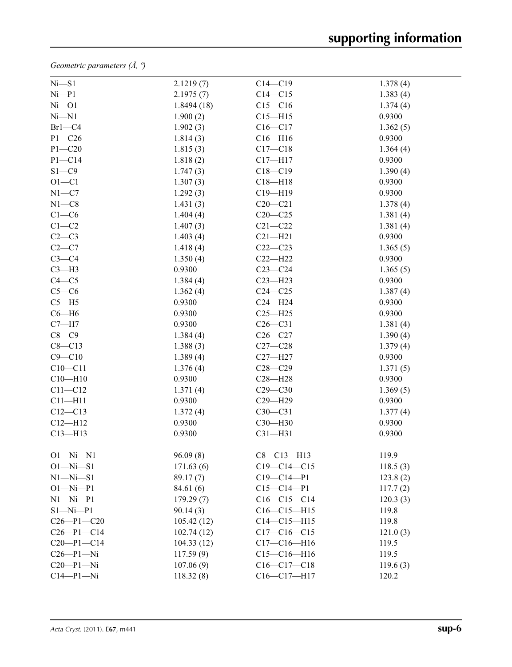*Geometric parameters (Å, º)*

| $Ni- S1$         | 2.1219(7)  | $C14 - C19$       | 1.378(4) |
|------------------|------------|-------------------|----------|
| Ni–P1            | 2.1975(7)  | $C14 - C15$       | 1.383(4) |
| $Ni$ -O1         | 1.8494(18) | $C15 - C16$       | 1.374(4) |
| Ni—N1            | 1.900(2)   | $C15 - H15$       | 0.9300   |
| $Br1-C4$         | 1.902(3)   | $C16 - C17$       | 1.362(5) |
| $P1 - C26$       | 1.814(3)   | $C16 - H16$       | 0.9300   |
| $P1 - C20$       | 1.815(3)   | $C17 - C18$       | 1.364(4) |
| $P1 - C14$       | 1.818(2)   | $C17 - H17$       | 0.9300   |
| $S1 - C9$        | 1.747(3)   | $C18 - C19$       | 1.390(4) |
| $O1 - C1$        | 1.307(3)   | $C18 - H18$       | 0.9300   |
| $N1 - C7$        | 1.292(3)   | $C19 - H19$       | 0.9300   |
| $N1 - C8$        | 1.431(3)   | $C20 - C21$       | 1.378(4) |
| $C1-C6$          | 1.404(4)   | $C20-C25$         | 1.381(4) |
| $C1-C2$          | 1.407(3)   | $C21 - C22$       | 1.381(4) |
| $C2-C3$          | 1.403(4)   | $C21 - H21$       | 0.9300   |
| $C2-C7$          | 1.418(4)   | $C22-C23$         | 1.365(5) |
| $C3-C4$          | 1.350(4)   | $C22-H22$         | 0.9300   |
| $C3-H3$          | 0.9300     | $C23-C24$         | 1.365(5) |
| $C4 - C5$        | 1.384(4)   | $C23 - H23$       | 0.9300   |
| $C5-C6$          | 1.362(4)   | $C24 - C25$       | 1.387(4) |
| $C5 - H5$        | 0.9300     | $C24 - H24$       | 0.9300   |
| $C6 - H6$        | 0.9300     | $C25 - H25$       | 0.9300   |
| $C7 - H7$        | 0.9300     | $C26-C31$         | 1.381(4) |
| $C8-C9$          | 1.384(4)   | $C26-C27$         | 1.390(4) |
| $C8 - C13$       | 1.388(3)   | $C27-C28$         | 1.379(4) |
| $C9 - C10$       | 1.389(4)   | $C27 - H27$       | 0.9300   |
| $C10 - C11$      | 1.376(4)   | $C28 - C29$       | 1.371(5) |
| $C10 - H10$      | 0.9300     | $C28 - H28$       | 0.9300   |
| $C11 - C12$      | 1.371(4)   | $C29 - C30$       | 1.369(5) |
| $C11 - H11$      | 0.9300     | $C29 - H29$       | 0.9300   |
| $C12 - C13$      | 1.372(4)   | $C30-C31$         | 1.377(4) |
| $C12 - H12$      | 0.9300     | C30-H30           | 0.9300   |
| $C13 - H13$      | 0.9300     | $C31 - H31$       | 0.9300   |
| $O1 - Ni - N1$   | 96.09(8)   | $C8 - C13 - H13$  | 119.9    |
| $O1 - Ni - S1$   | 171.63(6)  | $C19 - C14 - C15$ | 118.5(3) |
| $N1 - N1 - S1$   | 89.17(7)   | $C19 - C14 - P1$  | 123.8(2) |
| $O1 - Ni - P1$   | 84.61 (6)  | $C15 - C14 - P1$  | 117.7(2) |
| $N1 - N1 - P1$   | 179.29(7)  | $C16-C15-C14$     | 120.3(3) |
| $S1 - Ni - P1$   | 90.14(3)   | $C16-C15-H15$     | 119.8    |
| $C26 - P1 - C20$ | 105.42(12) | $C14 - C15 - H15$ | 119.8    |
| $C26 - P1 - C14$ | 102.74(12) | $C17-C16-C15$     | 121.0(3) |
| $C20-P1-C14$     | 104.33(12) | $C17 - C16 - H16$ | 119.5    |
| $C26 - P1 - Ni$  | 117.59(9)  | $C15 - C16 - H16$ | 119.5    |
| $C20 - P1 - Ni$  | 107.06(9)  | $C16-C17-C18$     | 119.6(3) |
| $C14-P1-Ni$      | 118.32(8)  | C16-C17-H17       | 120.2    |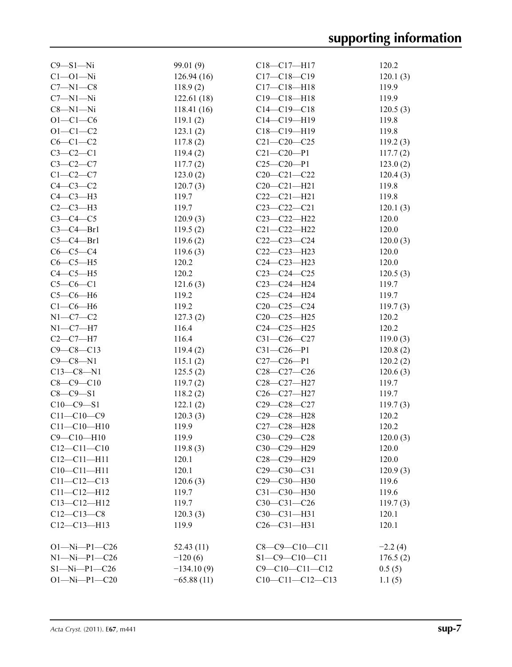| $C9 - S1 - Ni$       | 99.01 (9)    | $C18-C17-H17$          | 120.2     |
|----------------------|--------------|------------------------|-----------|
| $C1 - 01 - Ni$       | 126.94(16)   | $C17 - C18 - C19$      | 120.1(3)  |
| $C7 - N1 - C8$       | 118.9(2)     | $C17 - C18 - H18$      | 119.9     |
| $C7 - N1 - Ni$       | 122.61(18)   | $C19 - C18 - H18$      | 119.9     |
| $C8 - N1 - Ni$       | 118.41(16)   | $C14 - C19 - C18$      | 120.5(3)  |
| $O1 - C1 - C6$       | 119.1(2)     | $C14 - C19 - H19$      | 119.8     |
| $O1 - C1 - C2$       | 123.1(2)     | $C18-C19-H19$          | 119.8     |
| $C6-C1-C2$           | 117.8(2)     | $C21 - C20 - C25$      | 119.2(3)  |
| $C3-C2-C1$           | 119.4(2)     | $C21 - C20 - P1$       | 117.7(2)  |
| $C3-C2-C7$           | 117.7(2)     | $C25-C20-P1$           | 123.0(2)  |
| $C1-C2-C7$           | 123.0(2)     | $C20 - C21 - C22$      | 120.4(3)  |
| $C4-C3-C2$           | 120.7(3)     | $C20 - C21 - H21$      | 119.8     |
| $C4-C3-H3$           | 119.7        | $C22-C21-H21$          | 119.8     |
| $C2-C3-H3$           | 119.7        | $C23-C22-C21$          | 120.1(3)  |
| $C3-C4-C5$           | 120.9(3)     | $C23 - C22 - H22$      | 120.0     |
| $C3-C4-Br1$          | 119.5(2)     | $C21 - C22 - H22$      | 120.0     |
| $C5-C4-Br1$          | 119.6(2)     | $C22-C23-C24$          | 120.0(3)  |
| $C6-C5-C4$           | 119.6(3)     | $C22-C23-H23$          | 120.0     |
| $C6-C5-H5$           | 120.2        | $C24 - C23 - H23$      | 120.0     |
|                      | 120.2        |                        |           |
| $C4-C5-H5$           |              | $C23-C24-C25$          | 120.5(3)  |
| $C5-C6-C1$           | 121.6(3)     | $C23 - C24 - H24$      | 119.7     |
| $C5-C6-H6$           | 119.2        | $C25-C24-H24$          | 119.7     |
| $C1-C6-H6$           | 119.2        | $C20-C25-C24$          | 119.7(3)  |
| $N1 - C7 - C2$       | 127.3(2)     | $C20-C25-H25$          | 120.2     |
| $N1-C7-H7$           | 116.4        | $C24 - C25 - H25$      | 120.2     |
| $C2-C7-H7$           | 116.4        | $C31 - C26 - C27$      | 119.0(3)  |
| $C9 - C8 - C13$      | 119.4(2)     | $C31 - C26 - P1$       | 120.8(2)  |
| $C9 - C8 - N1$       | 115.1(2)     | $C27-C26-P1$           | 120.2(2)  |
| $C13 - C8 - N1$      | 125.5(2)     | $C28-C27-C26$          | 120.6(3)  |
| $C8 - C9 - C10$      | 119.7(2)     | C28-C27-H27            | 119.7     |
| $C8 - C9 - S1$       | 118.2(2)     | C26-C27-H27            | 119.7     |
| $C10-C9-S1$          | 122.1(2)     | $C29 - C28 - C27$      | 119.7(3)  |
| $C11 - C10 - C9$     | 120.3(3)     | C29-C28-H28            | 120.2     |
| $C11 - C10 - H10$    | 119.9        | C27-C28-H28            | 120.2     |
| $C9 - C10 - H10$     | 119.9        | C30-C29-C28            | 120.0(3)  |
| $C12 - C11 - C10$    | 119.8(3)     | C30-C29-H29            | 120.0     |
| $C12 - C11 - H11$    | 120.1        | C28-C29-H29            | 120.0     |
| $C10 - C11 - H11$    | 120.1        | $C29 - C30 - C31$      | 120.9(3)  |
| $C11 - C12 - C13$    | 120.6(3)     | C29-C30-H30            | 119.6     |
| $C11 - C12 - H12$    | 119.7        | C31-C30-H30            | 119.6     |
| $C13 - C12 - H12$    | 119.7        | $C30-C31-C26$          | 119.7(3)  |
| $C12 - C13 - C8$     | 120.3(3)     | C30-C31-H31            | 120.1     |
| $C12-C13-H13$        | 119.9        | $C26 - C31 - H31$      | 120.1     |
|                      |              |                        |           |
| $O1 - Ni - P1 - C26$ | 52.43(11)    | $C8 - C9 - C10 - C11$  | $-2.2(4)$ |
| $N1 - N1 - P1 - C26$ | $-120(6)$    | $S1 - C9 - C10 - C11$  | 176.5(2)  |
| $S1 - Ni - P1 - C26$ | $-134.10(9)$ | $C9 - C10 - C11 - C12$ | 0.5(5)    |
| $O1 - Ni - P1 - C20$ | $-65.88(11)$ | $C10-C11-C12-C13$      | 1.1(5)    |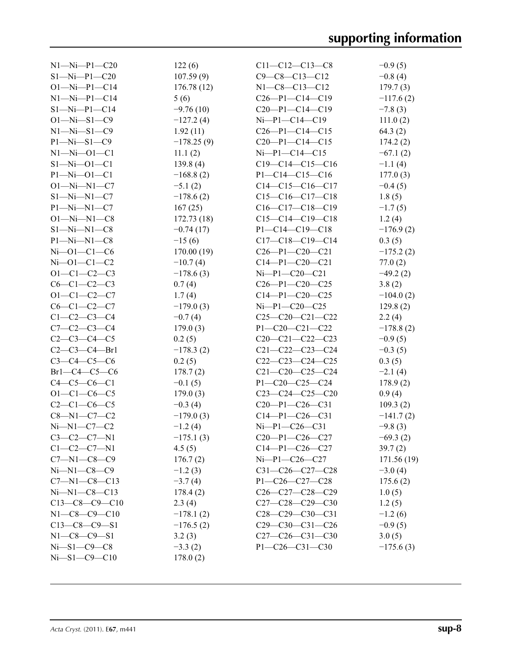| $N1 - N1 - P1 - C20$ | 122(6)       | $C11 - C12 - C13 - C8$  | $-0.9(5)$   |
|----------------------|--------------|-------------------------|-------------|
| $S1 - Ni - P1 - C20$ | 107.59(9)    | $C9 - C8 - C13 - C12$   | $-0.8(4)$   |
| $O1 - Ni - P1 - C14$ | 176.78(12)   | $N1-C8-C13-C12$         | 179.7(3)    |
| $N1 - Ni - P1 - C14$ | 5(6)         | $C26-P1-C14-C19$        | $-117.6(2)$ |
| $S1 - Ni - P1 - C14$ | $-9.76(10)$  | $C20-P1-C14-C19$        | $-7.8(3)$   |
| $O1 - Ni - S1 - C9$  | $-127.2(4)$  | $Ni-P1-C14-C19$         | 111.0(2)    |
| $N1 - N1 - S1 - C9$  | 1.92(11)     | $C26-P1-C14-C15$        | 64.3(2)     |
| $P1 - Ni - S1 - C9$  | $-178.25(9)$ | $C20-P1-C14-C15$        | 174.2(2)    |
| $N1 - Ni - 01 - C1$  | 11.1(2)      | $Ni-P1-C14-C15$         | $-67.1(2)$  |
| $S1 - Ni - O1 - C1$  | 139.8(4)     | $C19-C14-C15-C16$       | $-1.1(4)$   |
| $P1 - Ni - O1 - C1$  | $-168.8(2)$  | $P1 - C14 - C15 - C16$  | 177.0(3)    |
| $O1 - Ni - N1 - C7$  | $-5.1(2)$    | $C14-C15-C16-C17$       | $-0.4(5)$   |
| $S1 - Ni - N1 - C7$  | $-178.6(2)$  | $C15-C16-C17-C18$       | 1.8(5)      |
| $P1 - Ni - N1 - C7$  | 167(25)      | $C16-C17-C18-C19$       | $-1.7(5)$   |
| $O1 - Ni - N1 - C8$  | 172.73(18)   | $C15-C14-C19-C18$       | 1.2(4)      |
| $S1 - Ni - N1 - C8$  | $-0.74(17)$  | $P1 - C14 - C19 - C18$  | $-176.9(2)$ |
| $P1 - Ni - N1 - C8$  | $-15(6)$     | $C17-C18-C19-C14$       | 0.3(5)      |
| $Ni$ -01-C1-C6       | 170.00(19)   | $C26 - P1 - C20 - C21$  | $-175.2(2)$ |
| $Ni$ -Ol-Cl-C2       | $-10.7(4)$   | $C14-P1-C20-C21$        | 77.0(2)     |
| $O1 - C1 - C2 - C3$  | $-178.6(3)$  | $Ni-P1-C20-C21$         | $-49.2(2)$  |
| $C6-C1-C2-C3$        | 0.7(4)       | $C26 - P1 - C20 - C25$  | 3.8(2)      |
| $O1 - C1 - C2 - C7$  | 1.7(4)       | $C14-P1-C20-C25$        | $-104.0(2)$ |
| $C6 - C1 - C2 - C7$  | $-179.0(3)$  | $Ni-P1-C20-C25$         | 129.8(2)    |
| $C1 - C2 - C3 - C4$  | $-0.7(4)$    | $C25-C20-C21-C22$       | 2.2(4)      |
| $C7 - C2 - C3 - C4$  | 179.0(3)     | $P1 - C20 - C21 - C22$  | $-178.8(2)$ |
| $C2-C3-C4-C5$        | 0.2(5)       | $C20-C21-C22-C23$       | $-0.9(5)$   |
| $C2-C3-C4-Br1$       | $-178.3(2)$  | $C21 - C22 - C23 - C24$ | $-0.3(5)$   |
| $C3 - C4 - C5 - C6$  | 0.2(5)       | $C22-C23-C24-C25$       | 0.3(5)      |
| $Br1-C4-C5-C6$       | 178.7(2)     | $C21 - C20 - C25 - C24$ | $-2.1(4)$   |
| $C4 - C5 - C6 - C1$  | $-0.1(5)$    | P1-C20-C25-C24          | 178.9(2)    |
| $O1 - C1 - C6 - C5$  | 179.0(3)     | $C23-C24-C25-C20$       | 0.9(4)      |
| $C2-C1-C6-C5$        | $-0.3(4)$    | $C20-P1-C26-C31$        | 109.3(2)    |
| $C8 - N1 - C7 - C2$  | $-179.0(3)$  | $C14-P1-C26-C31$        | $-141.7(2)$ |
| Ni–N1–C7–C2          | $-1.2(4)$    | $Ni-P1-C26-C31$         | $-9.8(3)$   |
| $C3 - C2 - C7 - N1$  | $-175.1(3)$  | $C20-P1-C26-C27$        | $-69.3(2)$  |
| $C1-C2-C7-N1$        | 4.5(5)       | $C14-P1-C26-C27$        | 39.7(2)     |
| $C7 - N1 - C8 - C9$  | 176.7(2)     | $Ni-P1-C26-C27$         | 171.56 (19) |
| Ni—N1—C8—C9          | $-1.2(3)$    | $C31-C26-C27-C28$       | $-3.0(4)$   |
| $C7 - N1 - C8 - C13$ | $-3.7(4)$    | $P1 - C26 - C27 - C28$  | 175.6(2)    |
| $Ni-M1-C8-C13$       | 178.4(2)     | $C26-C27-C28-C29$       | 1.0(5)      |
| $C13-C8-C9-C10$      | 2.3(4)       | $C27-C28-C29-C30$       | 1.2(5)      |
| $N1-C8-C9-C10$       | $-178.1(2)$  | $C28-C29-C30-C31$       | $-1.2(6)$   |
| $C13-C8-C9-S1$       | $-176.5(2)$  | $C29-C30-C31-C26$       | $-0.9(5)$   |
| $N1 - C8 - C9 - S1$  | 3.2(3)       | $C27-C26-C31-C30$       | 3.0(5)      |
| Ni–S1–C9–C8          | $-3.3(2)$    | $P1 - C26 - C31 - C30$  | $-175.6(3)$ |
| Ni–S1–C9–C10         | 178.0(2)     |                         |             |